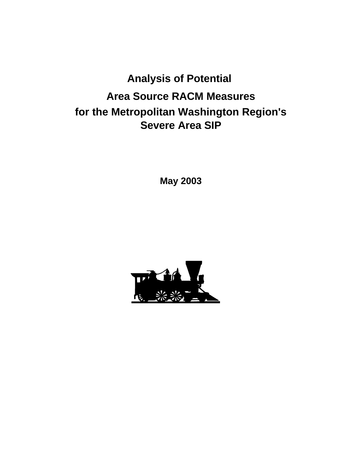# **Analysis of Potential Area Source RACM Measures for the Metropolitan Washington Region's Severe Area SIP**

**May 2003**

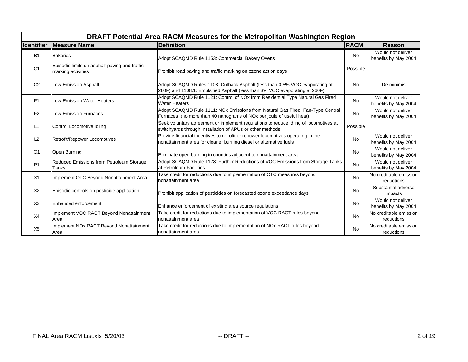| DRAFT Potential Area RACM Measures for the Metropolitan Washington Region |                                                                     |                                                                                                                                                            |             |                                           |  |
|---------------------------------------------------------------------------|---------------------------------------------------------------------|------------------------------------------------------------------------------------------------------------------------------------------------------------|-------------|-------------------------------------------|--|
| <b>Identifier</b>                                                         | <b>Measure Name</b>                                                 | <b>Definition</b>                                                                                                                                          | <b>RACM</b> | <b>Reason</b>                             |  |
| <b>B1</b>                                                                 | <b>Bakeries</b>                                                     | Adopt SCAQMD Rule 1153: Commercial Bakery Ovens                                                                                                            | <b>No</b>   | Would not deliver<br>benefits by May 2004 |  |
| C <sub>1</sub>                                                            | Episodic limits on asphalt paving and traffic<br>marking activities | Prohibit road paving and traffic marking on ozone action days                                                                                              | Possible    |                                           |  |
| C <sub>2</sub>                                                            | Low-Emission Asphalt                                                | Adopt SCAQMD Rules 1108: Cutback Asphalt (less than 0.5% VOC evaporating at<br>260F) and 1108.1: Emulsified Asphalt (less than 3% VOC evaporating at 260F) | No          | De minimis                                |  |
| F1                                                                        | Low-Emission Water Heaters                                          | Adopt SCAQMD Rule 1121: Control of NOx from Residential Type Natural Gas Fired<br><b>Water Heaters</b>                                                     | <b>No</b>   | Would not deliver<br>benefits by May 2004 |  |
| F <sub>2</sub>                                                            | Low-Emission Furnaces                                               | Adopt SCAQMD Rule 1111: NOx Emissions from Natural Gas Fired, Fan-Type Central<br>Furnaces (no more than 40 nanograms of NOx per joule of useful heat)     | <b>No</b>   | Would not deliver<br>benefits by May 2004 |  |
| L1                                                                        | Control Locomotive Idling                                           | Seek voluntary agreement or implement regulations to reduce idling of locomotives at<br>switchyards through installation of APUs or other methods          | Possible    |                                           |  |
| L2                                                                        | Retrofit/Repower Locomotives                                        | Provide financial incentives to retrofit or repower locomotives operating in the<br>nonattainment area for cleaner burning diesel or alternative fuels     | No          | Would not deliver<br>benefits by May 2004 |  |
| O <sub>1</sub>                                                            | Open Burning                                                        | Eliminate open burning in counties adjacent to nonattainment area                                                                                          | No          | Would not deliver<br>benefits by May 2004 |  |
| P <sub>1</sub>                                                            | Reduced Emissions from Petroleum Storage<br>Tanks                   | Adopt SCAQMD Rule 1178: Further Reductions of VOC Emissions from Storage Tanks<br>at Petroleum Facilities                                                  | <b>No</b>   | Would not deliver<br>benefits by May 2004 |  |
| X1                                                                        | Implement OTC Beyond Nonattainment Area                             | Take credit for reductions due to implementation of OTC measures beyond<br>nonattainment area                                                              | <b>No</b>   | No creditable emission<br>reductions      |  |
| X <sub>2</sub>                                                            | Episodic controls on pesticide application                          | Prohibit application of pesticides on forecasted ozone exceedance days                                                                                     | <b>No</b>   | Substantial adverse<br>impacts            |  |
| X3                                                                        | Enhanced enforcement                                                | Enhance enforcement of existing area source regulations                                                                                                    | No          | Would not deliver<br>benefits by May 2004 |  |
| X4                                                                        | Implement VOC RACT Beyond Nonattainment<br>Area                     | Take credit for reductions due to implementation of VOC RACT rules beyond<br>nonattainment area                                                            | <b>No</b>   | No creditable emission<br>reductions      |  |
| X <sub>5</sub>                                                            | Implement NOx RACT Beyond Nonattainment<br>Area                     | Take credit for reductions due to implementation of NOx RACT rules beyond<br>nonattainment area                                                            | <b>No</b>   | No creditable emission<br>reductions      |  |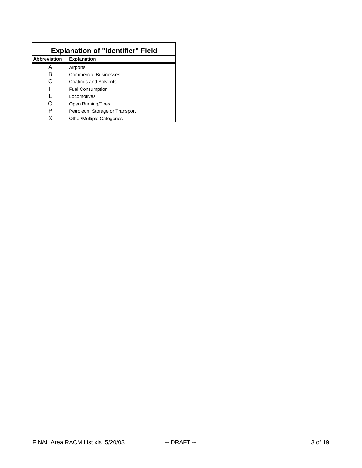| <b>Explanation of "Identifier" Field</b> |                                  |  |  |
|------------------------------------------|----------------------------------|--|--|
| <b>Abbreviation</b>                      | <b>Explanation</b>               |  |  |
|                                          | Airports                         |  |  |
| R                                        | <b>Commercial Businesses</b>     |  |  |
| C                                        | <b>Coatings and Solvents</b>     |  |  |
| F                                        | <b>Fuel Consumption</b>          |  |  |
|                                          | Locomotives                      |  |  |
|                                          | Open Burning/Fires               |  |  |
|                                          | Petroleum Storage or Transport   |  |  |
|                                          | <b>Other/Multiple Categories</b> |  |  |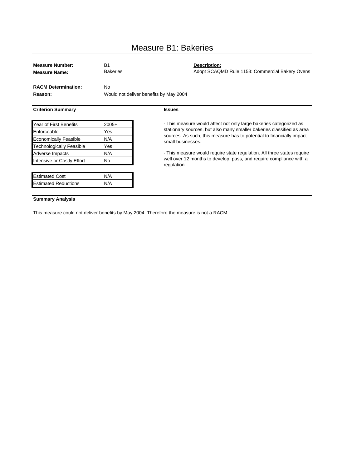# Measure B1: Bakeries

| <b>Measure Number:</b><br><b>Measure Name:</b> | B <sub>1</sub><br><b>Bakeries</b> | Description:<br>Adopt SCAQMD Rule 1153: Commercial Bakery Ovens                            |
|------------------------------------------------|-----------------------------------|--------------------------------------------------------------------------------------------|
| <b>RACM Determination:</b><br>Reason:          | <b>No</b>                         | Would not deliver benefits by May 2004                                                     |
| <b>Criterion Summary</b>                       |                                   | <b>Issues</b>                                                                              |
| Year of First Benefits                         | $2005+$                           | This measure would affect not only large bakeries categorized as                           |
| Enforceable                                    | Yes                               | stationary sources, but also many smaller bakeries classified as area                      |
| <b>Economically Feasible</b>                   | N/A                               | sources. As such, this measure has to potential to financially impact<br>small businesses. |
| <b>Technologically Feasible</b>                | Yes                               |                                                                                            |
| Adverse Impacts                                | N/A                               | This measure would require state regulation. All three states require                      |
| Intensive or Costly Effort                     | No.                               | well over 12 months to develop, pass, and require compliance with a<br>regulation.         |
| <b>Estimated Cost</b>                          | N/A                               |                                                                                            |
| <b>Estimated Reductions</b>                    | N/A                               |                                                                                            |
|                                                |                                   |                                                                                            |

### **Summary Analysis**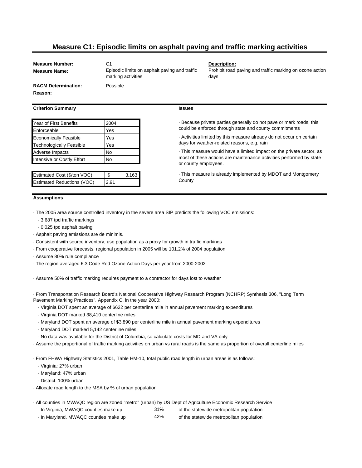### **Measure C1: Episodic limits on asphalt paving and traffic marking activities**

**Issues**

**County** 

or county employees.

**Measure Name:**

**Measure Number:** C1 **Description:** C1 Episodic limits on asphalt paving and traffic marking activities

days for weather-related reasons, e.g. rain

Prohibit road paving and traffic marking on ozone action days

· This measure is already implemented by MDOT and Montgomery

· This measure would have a limited impact on the private sector, as most of these actions are maintenance activities performed by state

· Because private parties generally do not pave or mark roads, this could be enforced through state and county commitments

· Activities limited by this measure already do not occur on certain

**RACM Determination:** Possible **Reason:**

### **Criterion Summary**

| <b>Year of First Benefits</b>   | 2004      |
|---------------------------------|-----------|
| Enforceable                     | Yes       |
| <b>Economically Feasible</b>    | Yes       |
| <b>Technologically Feasible</b> | Yes       |
| Adverse Impacts                 | <b>No</b> |
| Intensive or Costly Effort      | No        |
|                                 |           |

| Estimated Cost (\$/ton VOC)       | - \$ | 3.163 |
|-----------------------------------|------|-------|
| <b>Estimated Reductions (VOC)</b> | 2.91 |       |

### **Assumptions**

· The 2005 area source controlled inventory in the severe area SIP predicts the following VOC emissions:

- · 3.687 tpd traffic markings
- · 0.025 tpd asphalt paving
- · Asphalt paving emissions are de minimis.
- · Consistent with source inventory, use population as a proxy for growth in traffic markings
- · From cooperative forecasts, regional population in 2005 will be 101.2% of 2004 population
- · Assume 80% rule compliance
- · The region averaged 6.3 Code Red Ozone Action Days per year from 2000-2002
- · Assume 50% of traffic marking requires payment to a contractor for days lost to weather

· From Transportation Research Board's National Cooperative Highway Research Program (NCHRP) Synthesis 306, "Long Term Pavement Marking Practices", Appendix C, in the year 2000:

- · Virginia DOT spent an average of \$622 per centerline mile in annual pavement marking expenditures
- · Virginia DOT marked 38,410 centerline miles
- · Maryland DOT spent an average of \$3,890 per centerline mile in annual pavement marking expenditures
- · Maryland DOT marked 5,142 centerline miles
- · No data was available for the District of Columbia, so calculate costs for MD and VA only
- · Assume the proportional of traffic marking activities on urban vs rural roads is the same as proportion of overall centerline miles

· From FHWA Highway Statistics 2001, Table HM-10, total public road length in urban areas is as follows:

- · Virginia: 27% urban
- · Maryland: 47% urban
- · District: 100% urban
- · Allocate road length to the MSA by % of urban population
- · All counties in MWAQC region are zoned "metro" (urban) by US Dept of Agriculture Economic Research Service
	- · In Virginia, MWAQC counties make up 31% of the statewide metropolitan population
	- · In Maryland, MWAQC counties make up 42% of the statewide metropolitan population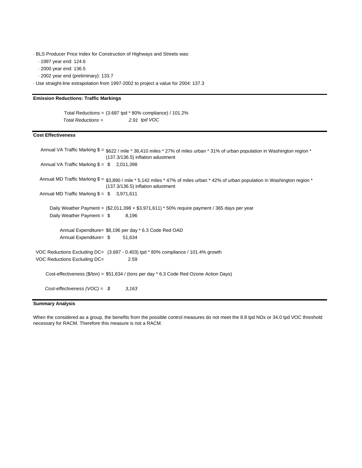· BLS Producer Price Index for Construction of Highways and Streets was:

· 1997 year end: 124.6

· 2000 year end: 136.5

· 2002 year end (preliminary): 133.7

· Use straight-line extrapolation from 1997-2002 to project a value for 2004: 137.3

### **Emission Reductions: Traffic Markings**

Total Reductions = (3.687 tpd \* 80% compliance) / 101.2% *Total Reductions = 2.91 tpd VOC*

### **Cost Effectiveness**

```
Annual VA Traffic Marking \$ = \$622 / mile * 38,410 miles * 27% of miles urban * 31% of urban population in Washington region *
  Annual VA Traffic Marking \$ = \$ 2,011,398
 Annual MD Traffic Marking $ = $3,890 / mile * 5,142 miles * 47% of miles urban * 42% of urban population in Washington region *Annual MD Traffic Marking \$ = \$ 3,971,611
       Daily Weather Payment = ($2,011,398 + $3,971,611) * 50% require payment / 365 days per year
      Daily Weather Payment = $ 8,196
          Annual Expenditure= $8,196 per day * 6.3 Code Red OAD
          Annual Expenditure= $ 51,634
VOC Reductions Excluding DC= (3.687 - 0.403) tpd * 80% compliance / 101.4% growth
VOC Reductions Excluding DC= 2.59
    Cost-effectiveness ($/ton) = $51,634 / (tons per day * 6.3 Code Red Ozone Action Days)
    Cost-effectiveness (VOC) = $ 3,163
                              (137.3/136.5) inflation adustment
                              (137.3/136.5) inflation adustment
```
### **Summary Analysis**

When the considered as a group, the benefits from the possible control measures do not meet the 8.8 tpd NOx or 34.0 tpd VOC threshold necessary for RACM. Therefore this measure is not a RACM.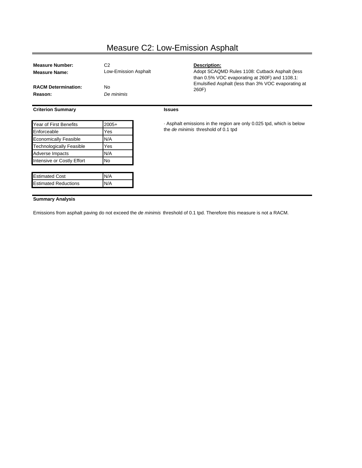# Measure C2: Low-Emission Asphalt

| <b>Measure Name:</b>            | C <sub>2</sub><br>Low-Emission Asphalt | Description:<br>Adopt SCAQMD Rules 1108: Cutback Asphalt (less<br>than $0.5\%$ VOC evaporating at 260F) and 1108.1: |  |  |
|---------------------------------|----------------------------------------|---------------------------------------------------------------------------------------------------------------------|--|--|
| <b>RACM Determination:</b>      | No.                                    | Emulsified Asphalt (less than 3% VOC evaporating at<br>260F)                                                        |  |  |
| Reason:                         | De minimis                             |                                                                                                                     |  |  |
| <b>Criterion Summary</b>        |                                        | <b>Issues</b>                                                                                                       |  |  |
| Year of First Benefits          | $2005+$                                | . Asphalt emissions in the region are only 0.025 tpd, which is below                                                |  |  |
| Enforceable<br>Yes              |                                        | the de minimis threshold of 0.1 tpd                                                                                 |  |  |
| <b>Economically Feasible</b>    | N/A                                    |                                                                                                                     |  |  |
| <b>Technologically Feasible</b> | Yes                                    |                                                                                                                     |  |  |
| Adverse Impacts                 | N/A                                    |                                                                                                                     |  |  |
| Intensive or Costly Effort      | No                                     |                                                                                                                     |  |  |
| <b>Estimated Cost</b>           | N/A                                    |                                                                                                                     |  |  |
| <b>Estimated Reductions</b>     | N/A                                    |                                                                                                                     |  |  |

### **Summary Analysis**

Emissions from asphalt paving do not exceed the *de minimis* threshold of 0.1 tpd. Therefore this measure is not a RACM.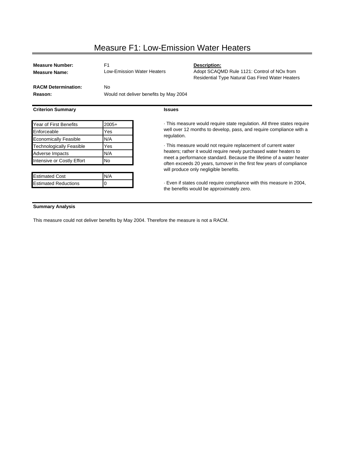# Measure F1: Low-Emission Water Heaters

| <b>Measure Number:</b><br><b>Measure Name:</b> | F <sub>1</sub>                         | Low-Emission Water Heaters                                            | Description:<br>Adopt SCAQMD Rule 1121: Control of NOx from<br>Residential Type Natural Gas Fired Water Heaters   |  |  |
|------------------------------------------------|----------------------------------------|-----------------------------------------------------------------------|-------------------------------------------------------------------------------------------------------------------|--|--|
| <b>RACM Determination:</b>                     | No.                                    |                                                                       |                                                                                                                   |  |  |
| Reason:                                        | Would not deliver benefits by May 2004 |                                                                       |                                                                                                                   |  |  |
| <b>Criterion Summary</b>                       |                                        | <b>Issues</b>                                                         |                                                                                                                   |  |  |
| <b>Year of First Benefits</b>                  | $2005+$                                | This measure would require state regulation. All three states require |                                                                                                                   |  |  |
| Enforceable                                    | Yes                                    |                                                                       | well over 12 months to develop, pass, and require compliance with a                                               |  |  |
| <b>Economically Feasible</b>                   | N/A                                    | regulation.                                                           |                                                                                                                   |  |  |
| <b>Technologically Feasible</b>                | Yes                                    | This measure would not require replacement of current water           |                                                                                                                   |  |  |
| Adverse Impacts                                | N/A                                    |                                                                       | heaters; rather it would require newly purchased water heaters to                                                 |  |  |
| Intensive or Costly Effort                     | No.                                    |                                                                       | meet a performance standard. Because the lifetime of a water heater                                               |  |  |
|                                                |                                        |                                                                       | often exceeds 20 years, turnover in the first few years of compliance<br>will produce only negligible benefits.   |  |  |
| <b>Estimated Cost</b>                          | N/A                                    |                                                                       |                                                                                                                   |  |  |
| <b>Estimated Reductions</b><br>0               |                                        |                                                                       | . Even if states could require compliance with this measure in 2004,<br>the benefits would be approximately zero. |  |  |

### **Summary Analysis**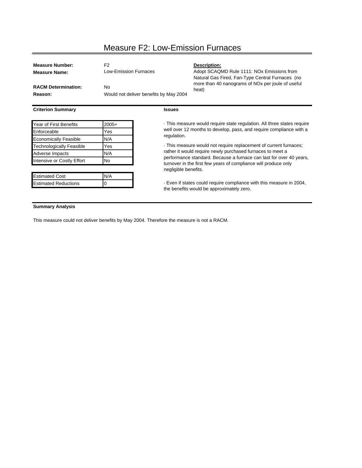# Measure F2: Low-Emission Furnaces

| <b>Measure Number:</b>                  | F <sub>2</sub>                         |                                                                                                                                                                                                                              | Description:                                                                                                      |  |  |
|-----------------------------------------|----------------------------------------|------------------------------------------------------------------------------------------------------------------------------------------------------------------------------------------------------------------------------|-------------------------------------------------------------------------------------------------------------------|--|--|
| <b>Measure Name:</b>                    | <b>Low-Emission Furnaces</b>           |                                                                                                                                                                                                                              | Adopt SCAQMD Rule 1111: NOx Emissions from<br>Natural Gas Fired, Fan-Type Central Furnaces (no                    |  |  |
| <b>RACM Determination:</b>              | No.                                    |                                                                                                                                                                                                                              | more than 40 nanograms of NO <sub>x</sub> per joule of useful<br>heat)                                            |  |  |
| Reason:                                 | Would not deliver benefits by May 2004 |                                                                                                                                                                                                                              |                                                                                                                   |  |  |
| <b>Criterion Summary</b>                |                                        | <b>Issues</b>                                                                                                                                                                                                                |                                                                                                                   |  |  |
| Year of First Benefits<br>$2005+$       |                                        |                                                                                                                                                                                                                              | This measure would require state regulation. All three states require                                             |  |  |
| Enforceable<br>Yes                      |                                        |                                                                                                                                                                                                                              | well over 12 months to develop, pass, and require compliance with a                                               |  |  |
| <b>Economically Feasible</b>            | N/A                                    | regulation.                                                                                                                                                                                                                  |                                                                                                                   |  |  |
| <b>Technologically Feasible</b>         | Yes                                    | . This measure would not require replacement of current furnaces;                                                                                                                                                            |                                                                                                                   |  |  |
| N/A<br>Adverse Impacts                  |                                        | rather it would require newly purchased furnaces to meet a<br>performance standard. Because a furnace can last for over 40 years,<br>turnover in the first few years of compliance will produce only<br>negligible benefits. |                                                                                                                   |  |  |
| <b>No</b><br>Intensive or Costly Effort |                                        |                                                                                                                                                                                                                              |                                                                                                                   |  |  |
|                                         |                                        |                                                                                                                                                                                                                              |                                                                                                                   |  |  |
| <b>Estimated Cost</b>                   | N/A                                    |                                                                                                                                                                                                                              |                                                                                                                   |  |  |
| <b>Estimated Reductions</b>             | 0                                      |                                                                                                                                                                                                                              | . Even if states could require compliance with this measure in 2004,<br>the benefits would be approximately zero. |  |  |
|                                         |                                        |                                                                                                                                                                                                                              |                                                                                                                   |  |  |

### **Summary Analysis**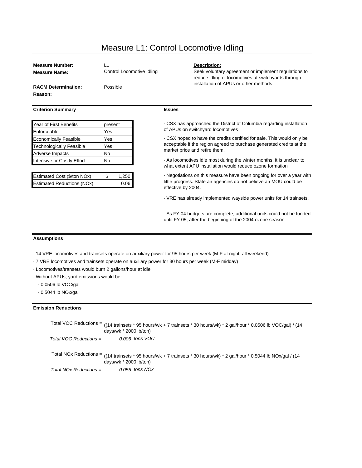### Measure L1: Control Locomotive Idling

| <b>Measure Number:</b>     | l 1                       | Description:                   |
|----------------------------|---------------------------|--------------------------------|
| <b>Measure Name:</b>       | Control Locomotive Idling | Seek voluntar<br>reduce idling |
| <b>RACM Determination:</b> | Possible                  | installation of                |
| <b>Reason:</b>             |                           |                                |

### **Criterion Summary**

| <b>Year of First Benefits</b>   | present |
|---------------------------------|---------|
| Enforceable                     | Yes     |
| <b>Economically Feasible</b>    | Yes     |
| <b>Technologically Feasible</b> | Yes     |
| <b>Adverse Impacts</b>          | No      |
| Intensive or Costly Effort      | N٥      |

| Estimated Cost (\$/ton NOx)       | 1 S | 1.250 |
|-----------------------------------|-----|-------|
| <b>Estimated Reductions (NOx)</b> |     | 0.06  |

### **Issues**

· CSX has approached the District of Columbia regarding installation of APUs on switchyard locomotives

installation of APUs or other methods

Seek voluntary agreement or implement regulations to reduce idling of locomotives at switchyards through

· CSX hoped to have the credits certified for sale. This would only be acceptable if the region agreed to purchase generated credits at the market price and retire them.

· As locomotives idle most during the winter months, it is unclear to what extent APU installation would reduce ozone formation

· Negotiations on this measure have been ongoing for over a year with little progress. State air agencies do not believe an MOU could be effective by 2004.

· VRE has already implemented wayside power units for 14 trainsets.

· As FY 04 budgets are complete, additional units could not be funded until FY 05, after the beginning of the 2004 ozone season

#### **Assumptions**

- · 14 VRE locomotives and trainsets operate on auxiliary power for 95 hours per week (M-F at night, all weekend)
- · 7 VRE locomotives and trainsets operate on auxiliary power for 30 hours per week (M-F midday)
- · Locomotives/transets would burn 2 gallons/hour at idle
- · Without APUs, yard emissions would be:
	- · 0.0506 lb VOC/gal
	- · 0.5044 lb NOx/gal

### **Emission Reductions**

Total VOC Reductions = ((14 trainsets \* 95 hours/wk + 7 trainsets \* 30 hours/wk) \* 2 gal/hour \* 0.0506 lb VOC/gal) / (14 *Total VOC Reductions = 0.006 tons VOC* Total NOx Reductions = ((14 trainsets \* 95 hours/wk + 7 trainsets \* 30 hours/wk) \* 2 gal/hour \* 0.5044 lb NOx/gal / (14 *Total NOx Reductions = 0.055 tons NOx* days/wk \* 2000 lb/ton) days/wk \* 2000 lb/ton)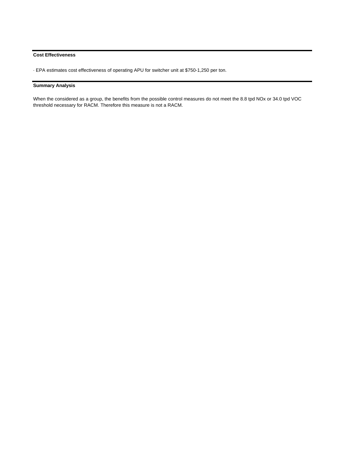### **Cost Effectiveness**

· EPA estimates cost effectiveness of operating APU for switcher unit at \$750-1,250 per ton.

### **Summary Analysis**

When the considered as a group, the benefits from the possible control measures do not meet the 8.8 tpd NOx or 34.0 tpd VOC threshold necessary for RACM. Therefore this measure is not a RACM.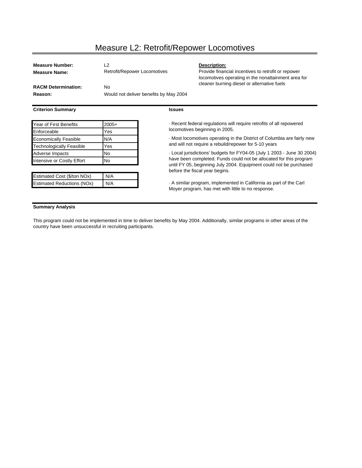### Measure L2: Retrofit/Repower Locomotives

| <b>Measure Number:</b><br><b>Measure Name:</b> | L2<br>Retrofit/Repower Locomotives     | Description:<br>Provide financial incentives to retrofit or repower<br>locomotives operating in the nonattainment area for |  |
|------------------------------------------------|----------------------------------------|----------------------------------------------------------------------------------------------------------------------------|--|
| <b>RACM Determination:</b>                     | No                                     | cleaner burning diesel or alternative fuels                                                                                |  |
| Reason:                                        | Would not deliver benefits by May 2004 |                                                                                                                            |  |
| <b>Criterion Summary</b>                       | <b>Issues</b>                          |                                                                                                                            |  |

| Year of First Benefits            | $2005+$ |
|-----------------------------------|---------|
| Enforceable                       | Yes     |
| <b>Economically Feasible</b>      | N/A     |
| <b>Technologically Feasible</b>   | Yes     |
| Adverse Impacts                   | No      |
| Intensive or Costly Effort        | No      |
|                                   |         |
| Estimated Cost (\$/ton NOx)       | N/A     |
| <b>Estimated Reductions (NOx)</b> | N/A     |

· Recent federal regulations will require retrofits of all repowered locomotives beginning in 2005.

· Most locomotives operating in the District of Columbia are fairly new and will not require a rebuild/repower for 5-10 years

· Local jurisdictions' budgets for FY04-05 (July 1 2003 - June 30 2004) have been completed. Funds could not be allocated for this program until FY 05, beginning July 2004. Equipment could not be purchased before the fiscal year begins.

· A similar program, implemented in California as part of the Carl Moyer program, has met with little to no response.

### **Summary Analysis**

This program could not be implemented in time to deliver benefits by May 2004. Additionally, similar programs in other areas of the country have been unsuccessful in recruiting participants.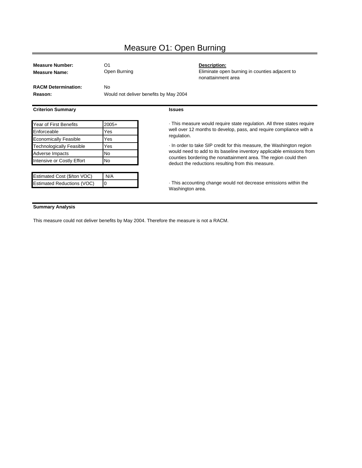# Measure O1: Open Burning

| <b>Measure Number:</b>                                    | O <sub>1</sub>                         | Description:                                                                                                                                 |  |
|-----------------------------------------------------------|----------------------------------------|----------------------------------------------------------------------------------------------------------------------------------------------|--|
| <b>Measure Name:</b>                                      | Open Burning                           | Eliminate open burning in counties adjacent to<br>nonattainment area                                                                         |  |
| <b>RACM Determination:</b>                                | No.                                    |                                                                                                                                              |  |
| Reason:                                                   | Would not deliver benefits by May 2004 |                                                                                                                                              |  |
| <b>Criterion Summary</b>                                  |                                        | <b>Issues</b>                                                                                                                                |  |
| Year of First Benefits<br>$2005+$                         |                                        | This measure would require state regulation. All three states require                                                                        |  |
| Enforceable                                               | Yes                                    | well over 12 months to develop, pass, and require compliance with a                                                                          |  |
| <b>Economically Feasible</b>                              | Yes                                    | regulation.                                                                                                                                  |  |
| Technologically Feasible<br>Yes<br>No.<br>Adverse Impacts |                                        | In order to take SIP credit for this measure, the Washington region<br>would need to add to its baseline inventory applicable emissions from |  |
|                                                           |                                        |                                                                                                                                              |  |
| Estimated Cost (\$/ton VOC)                               | N/A                                    |                                                                                                                                              |  |
| <b>Estimated Reductions (VOC)</b>                         | 0                                      | This accounting change would not decrease emissions within the                                                                               |  |

Washington area.

### **Summary Analysis**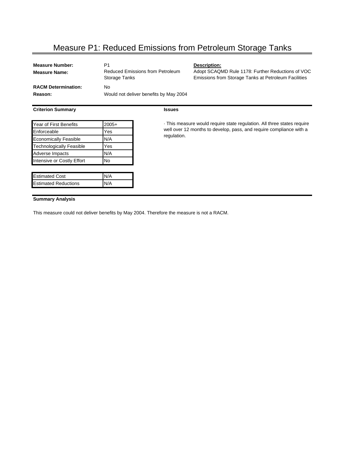## Measure P1: Reduced Emissions from Petroleum Storage Tanks

**Issues**

| <b>Measure Number:</b>     | P1                                                |
|----------------------------|---------------------------------------------------|
| <b>Measure Name:</b>       | Reduced Emissions from Petroleum<br>Storage Tanks |
| <b>RACM Determination:</b> | N٥                                                |
| Reason:                    | Would not deliver benefits by May 2004            |
|                            |                                                   |

### **Criterion Summary**

| Year of First Benefits          | $2005+$ |
|---------------------------------|---------|
| Enforceable                     | Yes     |
| <b>Economically Feasible</b>    | N/A     |
| <b>Technologically Feasible</b> | Yes     |
| Adverse Impacts                 | N/A     |
| Intensive or Costly Effort      | No      |
|                                 |         |

| <b>Estimated Cost</b>       | IN/A |
|-----------------------------|------|
| <b>Estimated Reductions</b> | IN/A |
|                             |      |

**Description:** 

Adopt SCAQMD Rule 1178: Further Reductions of VOC Emissions from Storage Tanks at Petroleum Facilities

· This measure would require state regulation. All three states require well over 12 months to develop, pass, and require compliance with a regulation.

### **Summary Analysis**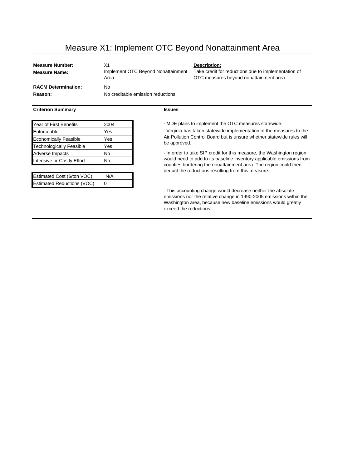# Measure X1: Implement OTC Beyond Nonattainment Area

| <b>Measure Number:</b><br>Measure Name: | X1<br>Implement OTC Beyond Nonattainment<br>Area | Description:<br>Take credit for reductions due to implementation of<br>OTC measures beyond nonattainment area |
|-----------------------------------------|--------------------------------------------------|---------------------------------------------------------------------------------------------------------------|
| <b>RACM Determination:</b><br>Reason:   | No<br>No creditable emission reductions          |                                                                                                               |

### **Criterion Summary**

| <b>Year of First Benefits</b>   | 2004 |
|---------------------------------|------|
| Enforceable                     | Yes  |
| <b>Economically Feasible</b>    | Yes  |
| <b>Technologically Feasible</b> | Yes  |
| Adverse Impacts                 | No   |
| Intensive or Costly Effort      | N٥   |

| Estimated Cost (\$/ton VOC)       | N/A |
|-----------------------------------|-----|
| <b>Estimated Reductions (VOC)</b> | I0  |

### **Issues**

 $\cdot$  MDE plans to implement the OTC measures statewide.

· Virginia has taken statewide implementation of the measures to the Air Pollution Control Board but is unsure whether statewide rules will be approved.

· In order to take SIP credit for this measure, the Washington region would need to add to its baseline inventory applicable emissions from counties bordering the nonattainment area. The region could then deduct the reductions resulting from this measure.

· This accounting change would decrease neither the absolute emissions nor the relative change in 1990-2005 emissions within the Washington area, because new baseline emissions would greatly exceed the reductions.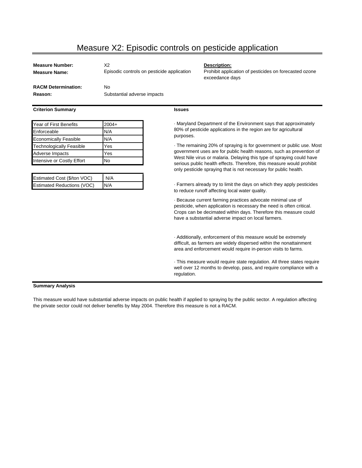## Measure X2: Episodic controls on pesticide application

| <b>Measure Number:</b><br><b>Measure Name:</b> | Х2<br>Episodic controls on pesticide application | Description:<br>Prohibit applic<br>exceedance o |
|------------------------------------------------|--------------------------------------------------|-------------------------------------------------|
| <b>RACM Determination:</b>                     | No.                                              |                                                 |
| Reason:                                        | Substantial adverse impacts                      |                                                 |

### **Criterion Summary**

| Year of First Benefits          | $2004+$ |
|---------------------------------|---------|
| Enforceable                     | N/A     |
| <b>Economically Feasible</b>    | N/A     |
| <b>Technologically Feasible</b> | Yes     |
| Adverse Impacts                 | Yes     |
| Intensive or Costly Effort      | No      |

| Estimated Cost (\$/ton VOC)       | N/A |
|-----------------------------------|-----|
| <b>Estimated Reductions (VOC)</b> | N/A |

#### **Issues**

· Maryland Department of the Environment says that approximately 80% of pesticide applications in the region are for agricultural purposes.

exceedance days

Prohibit application of pesticides on forecasted ozone

· The remaining 20% of spraying is for government or public use. Most government uses are for public health reasons, such as prevention of West Nile virus or malaria. Delaying this type of spraying could have serious public health effects. Therefore, this measure would prohibit only pesticide spraying that is not necessary for public health.

· Farmers already try to limit the days on which they apply pesticides to reduce runoff affecting local water quality.

· Because current farming practices advocate minimal use of pesticide, when application is necessary the need is often critical. Crops can be decimated within days. Therefore this measure could have a substantial adverse impact on local farmers.

· Additionally, enforcement of this measure would be extremely difficult, as farmers are widely dispersed within the nonattainment area and enforcement would require in-person visits to farms.

· This measure would require state regulation. All three states require well over 12 months to develop, pass, and require compliance with a regulation.

### **Summary Analysis**

This measure would have substantial adverse impacts on public health if applied to spraying by the public sector. A regulation affecting the private sector could not deliver benefits by May 2004. Therefore this measure is not a RACM.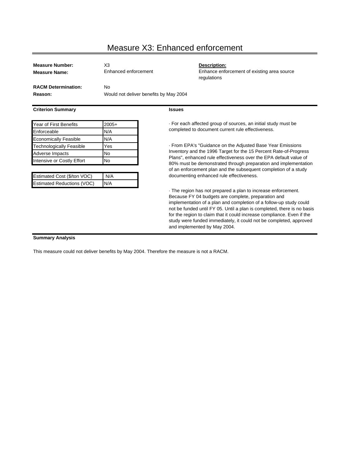# Measure X3: Enhanced enforcement

| <b>Measure Number:</b><br><b>Measure Name:</b> | X <sub>3</sub><br>Enhanced enforcement              | Description:<br>Enhance enforcement of existing area source<br>regulations                                                                                                                                                                                          |
|------------------------------------------------|-----------------------------------------------------|---------------------------------------------------------------------------------------------------------------------------------------------------------------------------------------------------------------------------------------------------------------------|
| <b>RACM Determination:</b><br>Reason:          | <b>No</b><br>Would not deliver benefits by May 2004 |                                                                                                                                                                                                                                                                     |
| <b>Criterion Summary</b>                       |                                                     | <b>Issues</b>                                                                                                                                                                                                                                                       |
| Year of First Benefits                         | $2005+$                                             | . For each affected group of sources, an initial study must be                                                                                                                                                                                                      |
| Enforceable                                    | N/A                                                 | completed to document current rule effectiveness.                                                                                                                                                                                                                   |
| <b>Economically Feasible</b>                   | N/A                                                 |                                                                                                                                                                                                                                                                     |
| Technologically Feasible                       | Yes                                                 | - From EPA's "Guidance on the Adjusted Base Year Emissions                                                                                                                                                                                                          |
| Adverse Impacts                                | No.                                                 | Inventory and the 1996 Target for the 15 Percent Rate-of-Progress                                                                                                                                                                                                   |
| Intensive or Costly Effort                     | No                                                  | Plans", enhanced rule effectiveness over the EPA default value of<br>80% must be demonstrated through preparation and implementation                                                                                                                                |
|                                                |                                                     | of an enforcement plan and the subsequent completion of a study                                                                                                                                                                                                     |
| Estimated Cost (\$/ton VOC)                    | N/A                                                 | documenting enhanced rule effectiveness.                                                                                                                                                                                                                            |
| <b>Estimated Reductions (VOC)</b>              | N/A                                                 |                                                                                                                                                                                                                                                                     |
|                                                |                                                     | The region has not prepared a plan to increase enforcement.<br>Because FY 04 budgets are complete, preparation and<br>implementation of a plan and completion of a follow-up study could<br>not be funded until FY 05. Until a plan is completed, there is no basis |

for the region to claim that it could increase compliance. Even if the study were funded immediately, it could not be completed, approved

and implemented by May 2004.

### **Summary Analysis**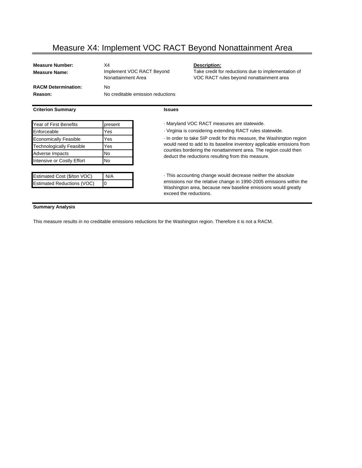### Measure X4: Implement VOC RACT Beyond Nonattainment Area

| <b>Measure Number:</b>     | X4                                              |
|----------------------------|-------------------------------------------------|
| <b>Measure Name:</b>       | Implement VOC RACT Beyond<br>Nonattainment Area |
| <b>RACM Determination:</b> | N٥                                              |
| Reason:                    | No creditable emission reductions               |
|                            |                                                 |

### **Criterion Summary**

| ×<br>×<br>. .<br>v<br>v<br>×<br>v<br>×<br>٧ |
|---------------------------------------------|
|---------------------------------------------|

Enforceable **Yes** Yes Virginia is considering extending RACT rules statewide. Economically Feasible **Yes** Technologically Feasible Yes Adverse Impacts No Intensive or Costly Effort No

| Iо<br><b>Estimated Reductions (VOC)</b> | Estimated Cost (\$/ton VOC) | N/A |
|-----------------------------------------|-----------------------------|-----|
|                                         |                             |     |

Year of First Benefits **present present** *present present present present present present present present present present present present present present present* 

**Description:** 

· In order to take SIP credit for this measure, the Washington region would need to add to its baseline inventory applicable emissions from counties bordering the nonattainment area. The region could then deduct the reductions resulting from this measure.

Take credit for reductions due to implementation of VOC RACT rules beyond nonattainment area

· This accounting change would decrease neither the absolute emissions nor the relative change in 1990-2005 emissions within the Washington area, because new baseline emissions would greatly exceed the reductions.

### **Summary Analysis**

This measure results in no creditable emissions reductions for the Washington region. Therefore it is not a RACM.